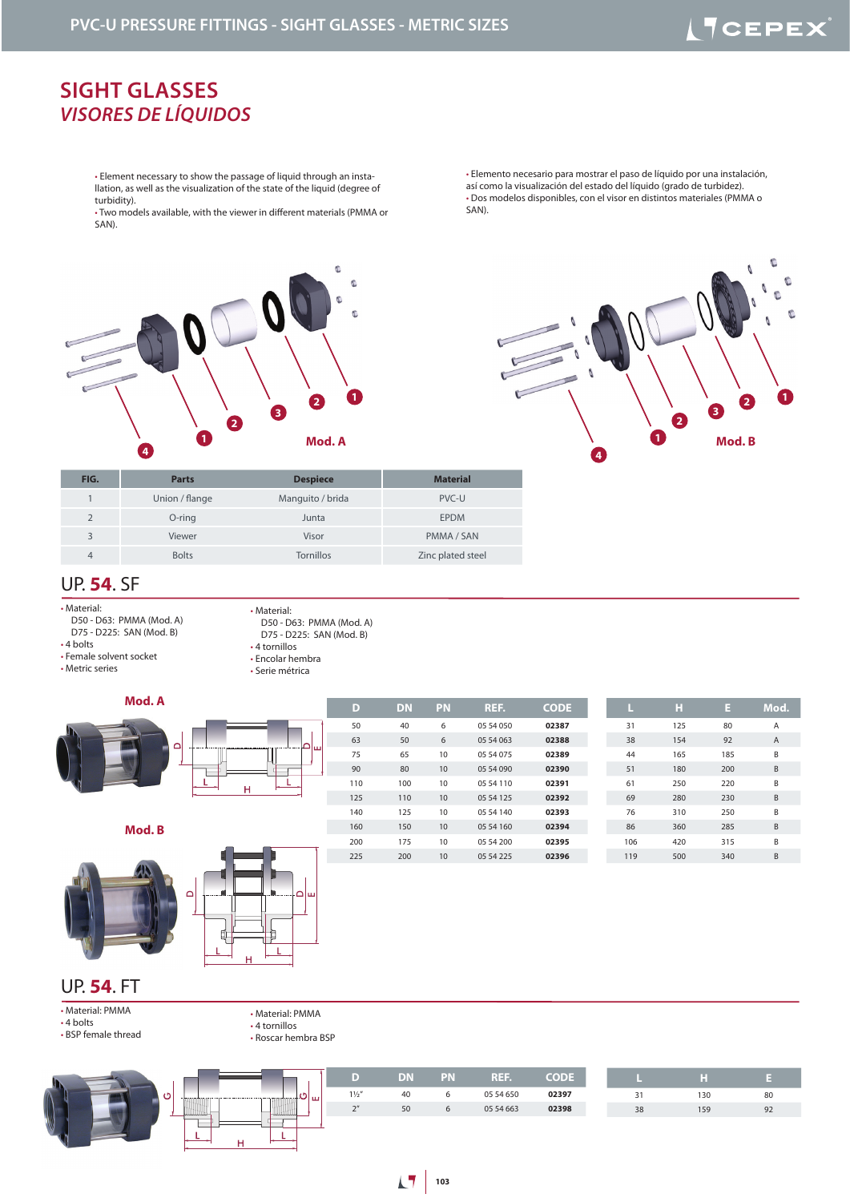# **ITCEPEX**

**1**

C

 $\mathbb{C}$ 

 $\mathfrak{g}$ 

## **SIGHT GLASSES** *VISORES DE LÍQUIDOS*

• Element necessary to show the passage of liquid through an installation, as well as the visualization of the state of the liquid (degree of turbidity).

• Two models available, with the viewer in different materials (PMMA or SAN).



• Elemento necesario para mostrar el paso de líquido por una instalación, así como la visualización del estado del líquido (grado de turbidez). • Dos modelos disponibles, con el visor en distintos materiales (PMMA o SAN).

**1**

**4**

**2**

<u>ि</u>



### UP. **54**. SF

• Material:

 D50 - D63: PMMA (Mod. A) D75 - D225: SAN (Mod. B) • 4 bolts

• Female solvent socket • Metric series

- Material: D50 - D63: PMMA (Mod. A)
- D75 D225: SAN (Mod. B) • 4 tornillos
- Encolar hembra
- Serie métrica

## **Mod. A**



**Mod. B**



| D   | <b>DN</b> | <b>PN</b> | REF.      | <b>CODE</b> | ш   | н   | E   | Mod. |
|-----|-----------|-----------|-----------|-------------|-----|-----|-----|------|
| 50  | 40        | 6         | 05 54 050 | 02387       | 31  | 125 | 80  | Α    |
| 63  | 50        | 6         | 05 54 063 | 02388       | 38  | 154 | 92  | A    |
| 75  | 65        | 10        | 05 54 075 | 02389       | 44  | 165 | 185 | B    |
| 90  | 80        | 10        | 05 54 090 | 02390       | 51  | 180 | 200 | B    |
| 110 | 100       | 10        | 05 54 110 | 02391       | 61  | 250 | 220 | B    |
| 125 | 110       | 10        | 05 54 125 | 02392       | 69  | 280 | 230 | B    |
| 140 | 125       | 10        | 05 54 140 | 02393       | 76  | 310 | 250 | B    |
| 160 | 150       | 10        | 05 54 160 | 02394       | 86  | 360 | 285 | B    |
| 200 | 175       | 10        | 05 54 200 | 02395       | 106 | 420 | 315 | B    |
| 225 | 200       | 10        | 05 54 225 | 02396       | 119 | 500 | 340 | B    |
|     |           |           |           |             |     |     |     |      |

### UP. **54**. FT

- Material: PMMA • 4 bolts
- BSP female thread
- 4 tornillos
	- Roscar hembra BSP

• Material: PMMA

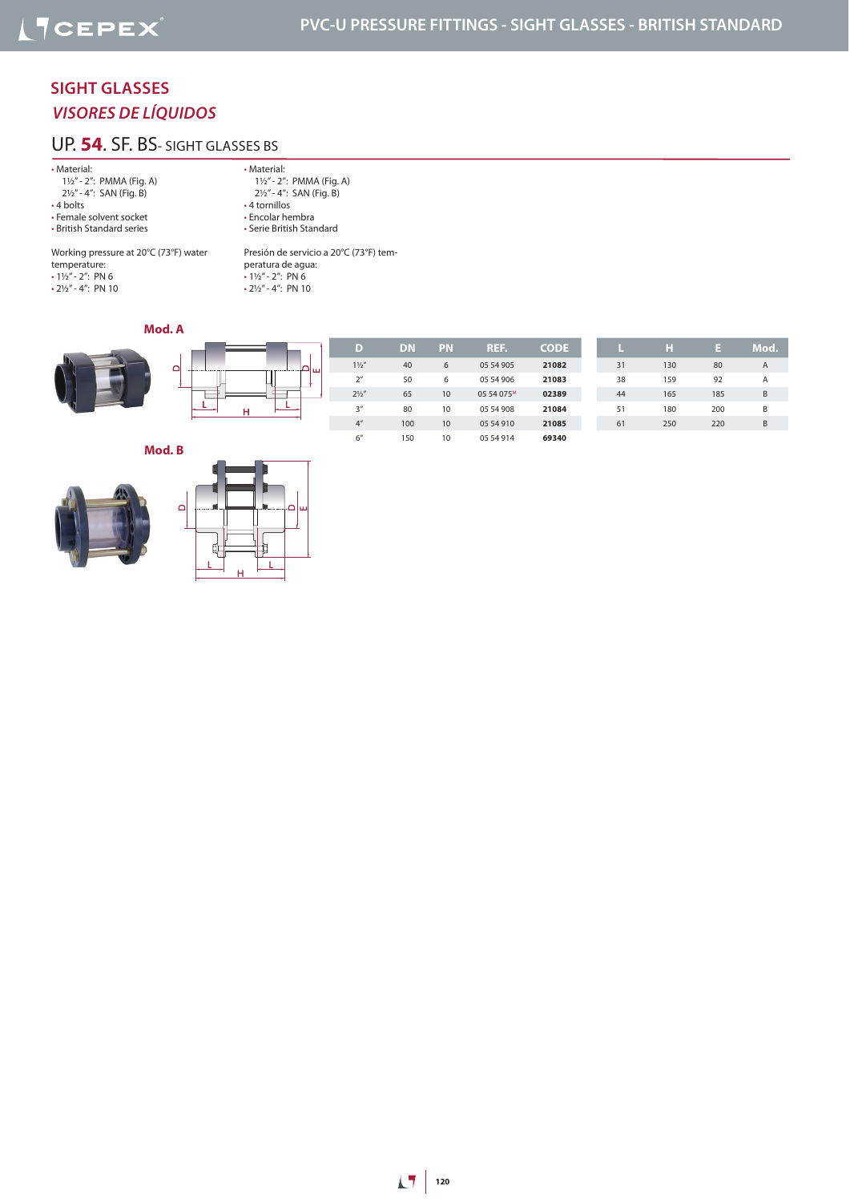### **SIGHT GLASSES** *VISORES DE LÍQUIDOS*

### UP. **54**. SF. BS- SIGHT GLASSES BS

#### • Material:

 1½" - 2": PMMA (Fig. A) 2½" - 4": SAN (Fig. B)

- 4 bolts
- Female solvent socket
- British Standard series

• Material: 1½" - 2": PMMA (Fig. A) 2½" - 4": SAN (Fig. B) • 4 tornillos • Encolar hembra • Serie British Standard

Working pressure at 20°C (73°F) water temperature:  $\cdot$  1½" - 2": PN 6

• 2½" - 4": PN 10

Presión de servicio a 20°C (73°F) temperatura de agua:  $\cdot$  1½" - 2": PN 6  $\cdot$  2½" - 4": PN 10

### **Mod. A**



**Mod. B**

 $\Omega$ 





Ë

| D              | <b>DN</b> | PN | REF.                   | <b>CODE</b> |    |
|----------------|-----------|----|------------------------|-------------|----|
| $1\frac{1}{2}$ | 40        | 6  | 05 54 905              | 21082       | 31 |
| 2 <sup>n</sup> | 50        | 6  | 05 54 906              | 21083       | 38 |
| $2\frac{1}{2}$ | 65        | 10 | 05 54 075 <sup>M</sup> | 02389       | 44 |
| 3''            | 80        | 10 | 05 54 908              | 21084       | 51 |
| 4 <sup>n</sup> | 100       | 10 | 05 54 910              | 21085       | 61 |
| 6"             | 150       | 10 | 05 54 914              | 69340       |    |

|    | н   | Е   | Mod. |
|----|-----|-----|------|
| 31 | 130 | 80  | А    |
| 38 | 159 | 92  | А    |
| 44 | 165 | 185 | B    |
| 51 | 180 | 200 | B    |
| 61 | 250 | 220 | R    |